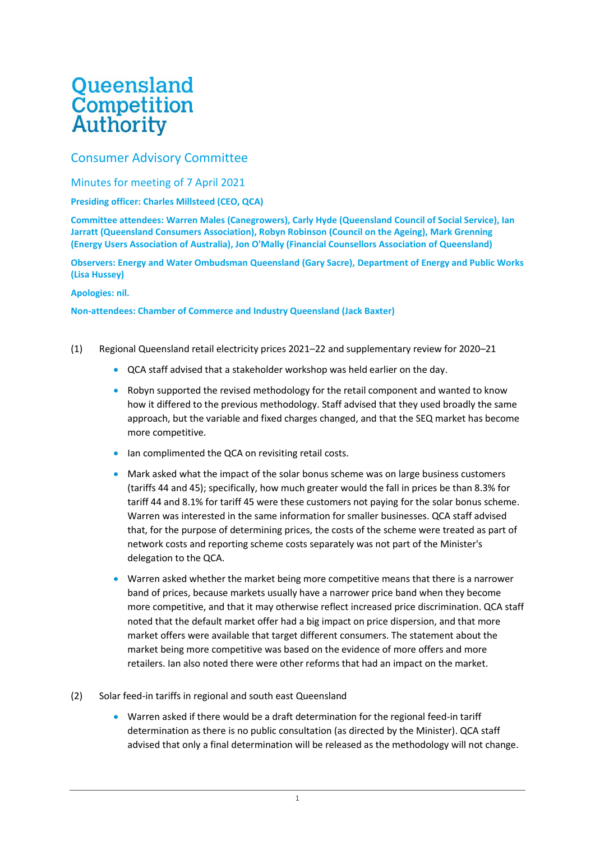## **Queensland**<br>Competition **Authority**

## Consumer Advisory Committee

Minutes for meeting of 7 April 2021

## **Presiding officer: Charles Millsteed (CEO, QCA)**

**Committee attendees: Warren Males (Canegrowers), Carly Hyde (Queensland Council of Social Service), Ian Jarratt (Queensland Consumers Association), Robyn Robinson (Council on the Ageing), Mark Grenning (Energy Users Association of Australia), Jon O'Mally (Financial Counsellors Association of Queensland)**

**Observers: Energy and Water Ombudsman Queensland (Gary Sacre), Department of Energy and Public Works (Lisa Hussey)**

## **Apologies: nil.**

**Non-attendees: Chamber of Commerce and Industry Queensland (Jack Baxter)**

- (1) Regional Queensland retail electricity prices 2021–22 and supplementary review for 2020–21
	- QCA staff advised that a stakeholder workshop was held earlier on the day.
	- Robyn supported the revised methodology for the retail component and wanted to know how it differed to the previous methodology. Staff advised that they used broadly the same approach, but the variable and fixed charges changed, and that the SEQ market has become more competitive.
	- Ian complimented the QCA on revisiting retail costs.
	- Mark asked what the impact of the solar bonus scheme was on large business customers (tariffs 44 and 45); specifically, how much greater would the fall in prices be than 8.3% for tariff 44 and 8.1% for tariff 45 were these customers not paying for the solar bonus scheme. Warren was interested in the same information for smaller businesses. QCA staff advised that, for the purpose of determining prices, the costs of the scheme were treated as part of network costs and reporting scheme costs separately was not part of the Minister's delegation to the QCA.
	- Warren asked whether the market being more competitive means that there is a narrower band of prices, because markets usually have a narrower price band when they become more competitive, and that it may otherwise reflect increased price discrimination. QCA staff noted that the default market offer had a big impact on price dispersion, and that more market offers were available that target different consumers. The statement about the market being more competitive was based on the evidence of more offers and more retailers. Ian also noted there were other reforms that had an impact on the market.
- (2) Solar feed-in tariffs in regional and south east Queensland
	- Warren asked if there would be a draft determination for the regional feed-in tariff determination as there is no public consultation (as directed by the Minister). QCA staff advised that only a final determination will be released as the methodology will not change.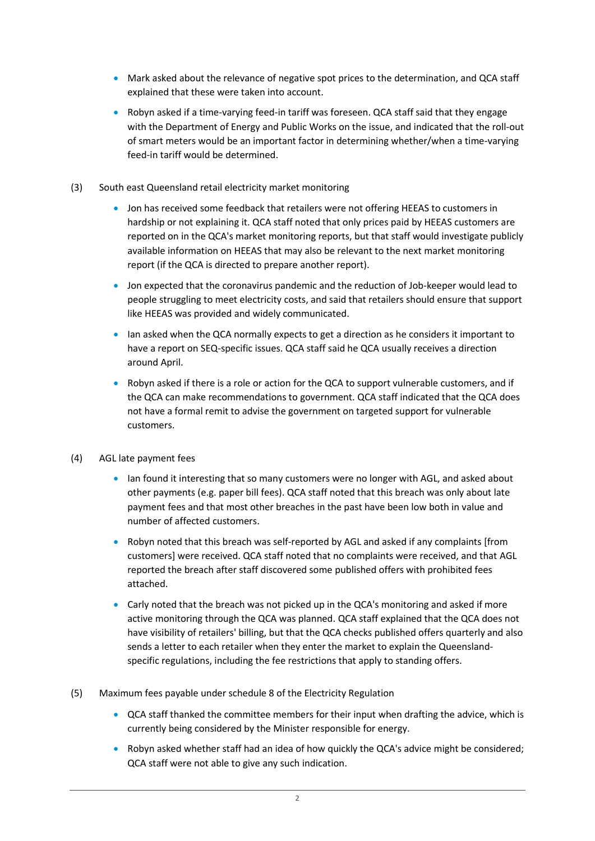- Mark asked about the relevance of negative spot prices to the determination, and QCA staff explained that these were taken into account.
- Robyn asked if a time-varying feed-in tariff was foreseen. QCA staff said that they engage with the Department of Energy and Public Works on the issue, and indicated that the roll-out of smart meters would be an important factor in determining whether/when a time-varying feed-in tariff would be determined.
- (3) South east Queensland retail electricity market monitoring
	- Jon has received some feedback that retailers were not offering HEEAS to customers in hardship or not explaining it. QCA staff noted that only prices paid by HEEAS customers are reported on in the QCA's market monitoring reports, but that staff would investigate publicly available information on HEEAS that may also be relevant to the next market monitoring report (if the QCA is directed to prepare another report).
	- Jon expected that the coronavirus pandemic and the reduction of Job-keeper would lead to people struggling to meet electricity costs, and said that retailers should ensure that support like HEEAS was provided and widely communicated.
	- Ian asked when the QCA normally expects to get a direction as he considers it important to have a report on SEQ-specific issues. QCA staff said he QCA usually receives a direction around April.
	- Robyn asked if there is a role or action for the QCA to support vulnerable customers, and if the QCA can make recommendations to government. QCA staff indicated that the QCA does not have a formal remit to advise the government on targeted support for vulnerable customers.
- (4) AGL late payment fees
	- Ian found it interesting that so many customers were no longer with AGL, and asked about other payments (e.g. paper bill fees). QCA staff noted that this breach was only about late payment fees and that most other breaches in the past have been low both in value and number of affected customers.
	- Robyn noted that this breach was self-reported by AGL and asked if any complaints [from] customers] were received. QCA staff noted that no complaints were received, and that AGL reported the breach after staff discovered some published offers with prohibited fees attached.
	- Carly noted that the breach was not picked up in the QCA's monitoring and asked if more active monitoring through the QCA was planned. QCA staff explained that the QCA does not have visibility of retailers' billing, but that the QCA checks published offers quarterly and also sends a letter to each retailer when they enter the market to explain the Queenslandspecific regulations, including the fee restrictions that apply to standing offers.
- (5) Maximum fees payable under schedule 8 of the Electricity Regulation
	- QCA staff thanked the committee members for their input when drafting the advice, which is currently being considered by the Minister responsible for energy.
	- Robyn asked whether staff had an idea of how quickly the QCA's advice might be considered; QCA staff were not able to give any such indication.